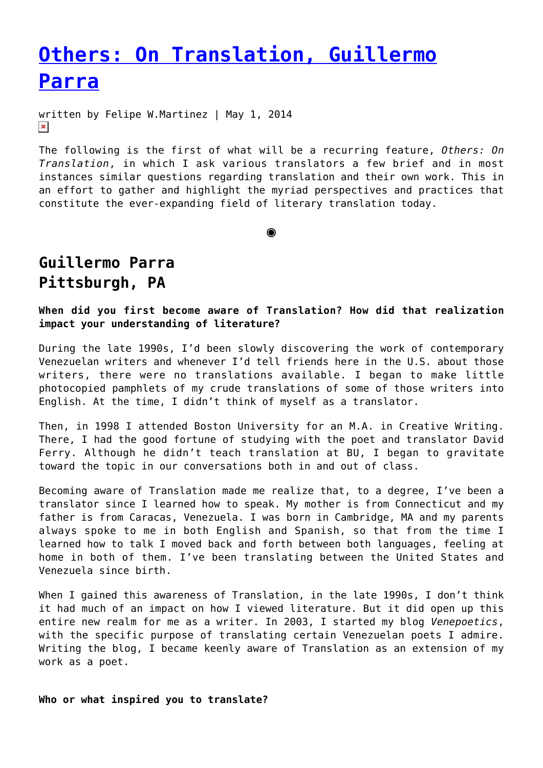## **[Others: On Translation, Guillermo](https://entropymag.org/others-on-translation-guillermo-parra/) [Parra](https://entropymag.org/others-on-translation-guillermo-parra/)**

written by Felipe W.Martinez | May 1, 2014  $\pmb{\times}$ 

The following is the first of what will be a recurring feature, *Others: On Translation*, in which I ask various translators a few brief and in most instances similar questions regarding translation and their own work. This in an effort to gather and highlight the myriad perspectives and practices that constitute the ever-expanding field of literary translation today.

**◉**

## **Guillermo Parra Pittsburgh, PA**

**When did you first become aware of Translation? How did that realization impact your understanding of literature?**

During the late 1990s, I'd been slowly discovering the work of contemporary Venezuelan writers and whenever I'd tell friends here in the U.S. about those writers, there were no translations available. I began to make little photocopied pamphlets of my crude translations of some of those writers into English. At the time, I didn't think of myself as a translator.

Then, in 1998 I attended Boston University for an M.A. in Creative Writing. There, I had the good fortune of studying with the poet and translator David Ferry. Although he didn't teach translation at BU, I began to gravitate toward the topic in our conversations both in and out of class.

Becoming aware of Translation made me realize that, to a degree, I've been a translator since I learned how to speak. My mother is from Connecticut and my father is from Caracas, Venezuela. I was born in Cambridge, MA and my parents always spoke to me in both English and Spanish, so that from the time I learned how to talk I moved back and forth between both languages, feeling at home in both of them. I've been translating between the United States and Venezuela since birth.

When I gained this awareness of Translation, in the late 1990s, I don't think it had much of an impact on how I viewed literature. But it did open up this entire new realm for me as a writer. In 2003, I started my blog *Venepoetics*, with the specific purpose of translating certain Venezuelan poets I admire. Writing the blog, I became keenly aware of Translation as an extension of my work as a poet.

**Who or what inspired you to translate?**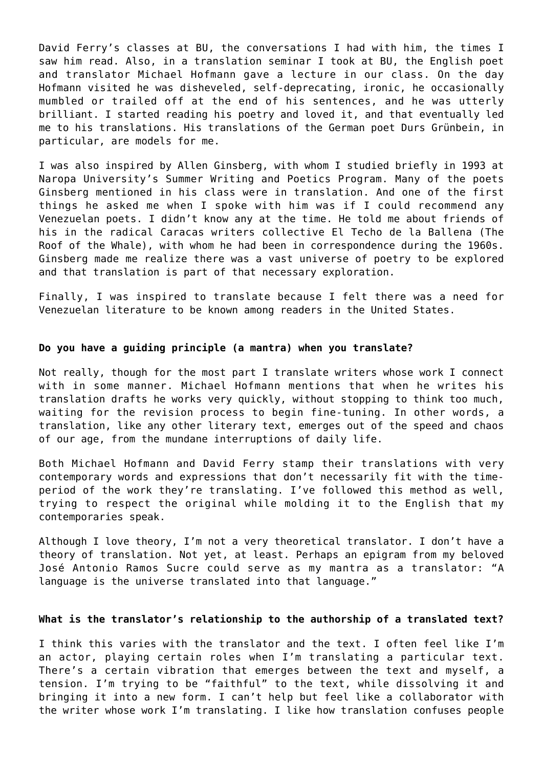David Ferry's classes at BU, the conversations I had with him, the times I saw him read. Also, in a translation seminar I took at BU, the English poet and translator Michael Hofmann gave a lecture in our class. On the day Hofmann visited he was disheveled, self-deprecating, ironic, he occasionally mumbled or trailed off at the end of his sentences, and he was utterly brilliant. I started reading his poetry and loved it, and that eventually led me to his translations. His translations of the German poet Durs Grünbein, in particular, are models for me.

I was also inspired by Allen Ginsberg, with whom I studied briefly in 1993 at Naropa University's Summer Writing and Poetics Program. Many of the poets Ginsberg mentioned in his class were in translation. And one of the first things he asked me when I spoke with him was if I could recommend any Venezuelan poets. I didn't know any at the time. He told me about friends of his in the radical Caracas writers collective El Techo de la Ballena (The Roof of the Whale), with whom he had been in correspondence during the 1960s. Ginsberg made me realize there was a vast universe of poetry to be explored and that translation is part of that necessary exploration.

Finally, I was inspired to translate because I felt there was a need for Venezuelan literature to be known among readers in the United States.

## **Do you have a guiding principle (a mantra) when you translate?**

Not really, though for the most part I translate writers whose work I connect with in some manner. Michael Hofmann mentions that when he writes his translation drafts he works very quickly, without stopping to think too much, waiting for the revision process to begin fine-tuning. In other words, a translation, like any other literary text, emerges out of the speed and chaos of our age, from the mundane interruptions of daily life.

Both Michael Hofmann and David Ferry stamp their translations with very contemporary words and expressions that don't necessarily fit with the timeperiod of the work they're translating. I've followed this method as well, trying to respect the original while molding it to the English that my contemporaries speak.

Although I love theory, I'm not a very theoretical translator. I don't have a theory of translation. Not yet, at least. Perhaps an epigram from my beloved José Antonio Ramos Sucre could serve as my mantra as a translator: "A language is the universe translated into that language."

## **What is the translator's relationship to the authorship of a translated text?**

I think this varies with the translator and the text. I often feel like I'm an actor, playing certain roles when I'm translating a particular text. There's a certain vibration that emerges between the text and myself, a tension. I'm trying to be "faithful" to the text, while dissolving it and bringing it into a new form. I can't help but feel like a collaborator with the writer whose work I'm translating. I like how translation confuses people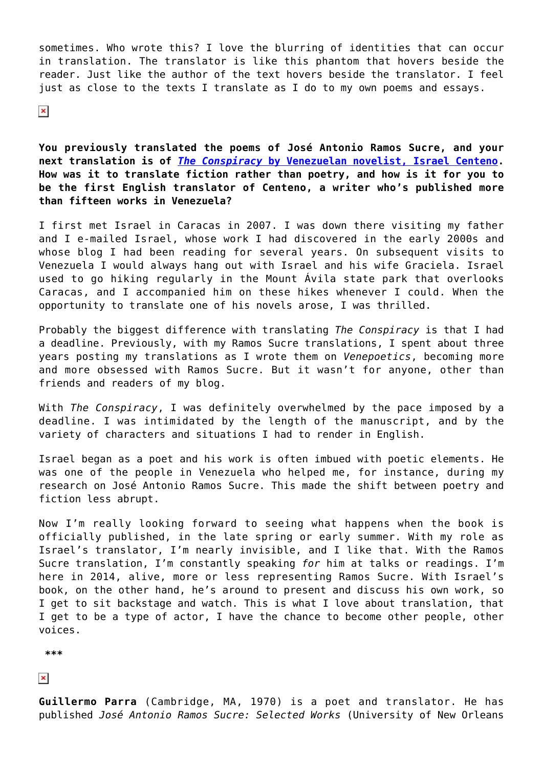sometimes. Who wrote this? I love the blurring of identities that can occur in translation. The translator is like this phantom that hovers beside the reader. Just like the author of the text hovers beside the translator. I feel just as close to the texts I translate as I do to my own poems and essays.

 $\pmb{\times}$ 

**You previously translated the poems of José Antonio Ramos Sucre, and your next translation is of** *[The Conspiracy](http://www.amazon.com/The-Conspiracy-Israel-Centeno/dp/1497335108/ref=sr_1_1?ie=UTF8&qid=1398694982&sr=8-1&keywords=israel+centeno)* **[by Venezuelan novelist, Israel Centeno](http://www.amazon.com/The-Conspiracy-Israel-Centeno/dp/1497335108/ref=sr_1_1?ie=UTF8&qid=1398694982&sr=8-1&keywords=israel+centeno). How was it to translate fiction rather than poetry, and how is it for you to be the first English translator of Centeno, a writer who's published more than fifteen works in Venezuela?**

I first met Israel in Caracas in 2007. I was down there visiting my father and I e-mailed Israel, whose work I had discovered in the early 2000s and whose blog I had been reading for several years. On subsequent visits to Venezuela I would always hang out with Israel and his wife Graciela. Israel used to go hiking regularly in the Mount Ávila state park that overlooks Caracas, and I accompanied him on these hikes whenever I could. When the opportunity to translate one of his novels arose, I was thrilled.

Probably the biggest difference with translating *The Conspiracy* is that I had a deadline. Previously, with my Ramos Sucre translations, I spent about three years posting my translations as I wrote them on *Venepoetics*, becoming more and more obsessed with Ramos Sucre. But it wasn't for anyone, other than friends and readers of my blog.

With *The Conspiracy*, I was definitely overwhelmed by the pace imposed by a deadline. I was intimidated by the length of the manuscript, and by the variety of characters and situations I had to render in English.

Israel began as a poet and his work is often imbued with poetic elements. He was one of the people in Venezuela who helped me, for instance, during my research on José Antonio Ramos Sucre. This made the shift between poetry and fiction less abrupt.

Now I'm really looking forward to seeing what happens when the book is officially published, in the late spring or early summer. With my role as Israel's translator, I'm nearly invisible, and I like that. With the Ramos Sucre translation, I'm constantly speaking *for* him at talks or readings. I'm here in 2014, alive, more or less representing Ramos Sucre. With Israel's book, on the other hand, he's around to present and discuss his own work, so I get to sit backstage and watch. This is what I love about translation, that I get to be a type of actor, I have the chance to become other people, other voices.

 **\*\*\***

 $\pmb{\times}$ 

**Guillermo Parra** (Cambridge, MA, 1970) is a poet and translator. He has published *José Antonio Ramos Sucre: Selected Works* (University of New Orleans